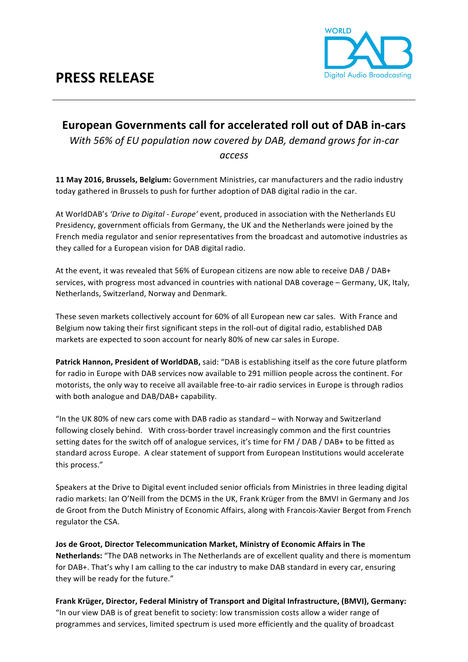## **PRESS RELEASE**



## **European Governments call for accelerated roll out of DAB in-cars**

*With* 56% of EU population now covered by DAB, demand grows for in-car

*access*

**11 May 2016, Brussels, Belgium:** Government Ministries, car manufacturers and the radio industry today gathered in Brussels to push for further adoption of DAB digital radio in the car.

At WorldDAB's 'Drive to Digital - Europe' event, produced in association with the Netherlands EU Presidency, government officials from Germany, the UK and the Netherlands were joined by the French media regulator and senior representatives from the broadcast and automotive industries as they called for a European vision for DAB digital radio.

At the event, it was revealed that 56% of European citizens are now able to receive DAB / DAB+ services, with progress most advanced in countries with national DAB coverage – Germany, UK, Italy, Netherlands, Switzerland, Norway and Denmark.

These seven markets collectively account for 60% of all European new car sales. With France and Belgium now taking their first significant steps in the roll-out of digital radio, established DAB markets are expected to soon account for nearly 80% of new car sales in Europe.

Patrick Hannon, President of WorldDAB, said: "DAB is establishing itself as the core future platform for radio in Europe with DAB services now available to 291 million people across the continent. For motorists, the only way to receive all available free-to-air radio services in Europe is through radios with both analogue and DAB/DAB+ capability.

"In the UK 80% of new cars come with DAB radio as standard  $-$  with Norway and Switzerland following closely behind. With cross-border travel increasingly common and the first countries setting dates for the switch off of analogue services, it's time for FM / DAB / DAB+ to be fitted as standard across Europe. A clear statement of support from European Institutions would accelerate this process."

Speakers at the Drive to Digital event included senior officials from Ministries in three leading digital radio markets: Ian O'Neill from the DCMS in the UK, Frank Krüger from the BMVI in Germany and Jos de Groot from the Dutch Ministry of Economic Affairs, along with Francois-Xavier Bergot from French regulator the CSA.

**Jos de Groot, Director Telecommunication Market, Ministry of Economic Affairs in The Netherlands:** "The DAB networks in The Netherlands are of excellent quality and there is momentum for DAB+. That's why I am calling to the car industry to make DAB standard in every car, ensuring they will be ready for the future."

Frank Krüger, Director, Federal Ministry of Transport and Digital Infrastructure, (BMVI), Germany: "In our view DAB is of great benefit to society: low transmission costs allow a wider range of programmes and services, limited spectrum is used more efficiently and the quality of broadcast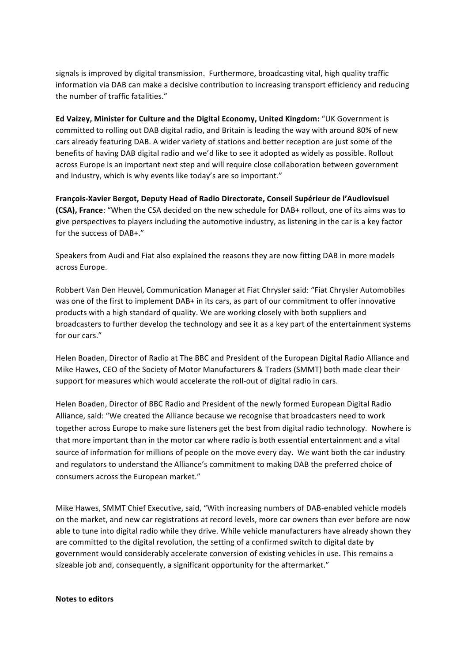signals is improved by digital transmission. Furthermore, broadcasting vital, high quality traffic information via DAB can make a decisive contribution to increasing transport efficiency and reducing the number of traffic fatalities."

**Ed Vaizey, Minister for Culture and the Digital Economy, United Kingdom:** "UK Government is committed to rolling out DAB digital radio, and Britain is leading the way with around 80% of new cars already featuring DAB. A wider variety of stations and better reception are just some of the benefits of having DAB digital radio and we'd like to see it adopted as widely as possible. Rollout across Europe is an important next step and will require close collaboration between government and industry, which is why events like today's are so important."

François-Xavier Bergot, Deputy Head of Radio Directorate, Conseil Supérieur de l'Audiovisuel **(CSA), France:** "When the CSA decided on the new schedule for DAB+ rollout, one of its aims was to give perspectives to players including the automotive industry, as listening in the car is a key factor for the success of DAB+."

Speakers from Audi and Fiat also explained the reasons they are now fitting DAB in more models across Europe.

Robbert Van Den Heuvel, Communication Manager at Fiat Chrysler said: "Fiat Chrysler Automobiles was one of the first to implement DAB+ in its cars, as part of our commitment to offer innovative products with a high standard of quality. We are working closely with both suppliers and broadcasters to further develop the technology and see it as a key part of the entertainment systems for our cars."

Helen Boaden, Director of Radio at The BBC and President of the European Digital Radio Alliance and Mike Hawes, CEO of the Society of Motor Manufacturers & Traders (SMMT) both made clear their support for measures which would accelerate the roll-out of digital radio in cars.

Helen Boaden, Director of BBC Radio and President of the newly formed European Digital Radio Alliance, said: "We created the Alliance because we recognise that broadcasters need to work together across Europe to make sure listeners get the best from digital radio technology. Nowhere is that more important than in the motor car where radio is both essential entertainment and a vital source of information for millions of people on the move every day. We want both the car industry and regulators to understand the Alliance's commitment to making DAB the preferred choice of consumers across the European market."

Mike Hawes, SMMT Chief Executive, said, "With increasing numbers of DAB-enabled vehicle models on the market, and new car registrations at record levels, more car owners than ever before are now able to tune into digital radio while they drive. While vehicle manufacturers have already shown they are committed to the digital revolution, the setting of a confirmed switch to digital date by government would considerably accelerate conversion of existing vehicles in use. This remains a sizeable job and, consequently, a significant opportunity for the aftermarket."

## **Notes to editors**